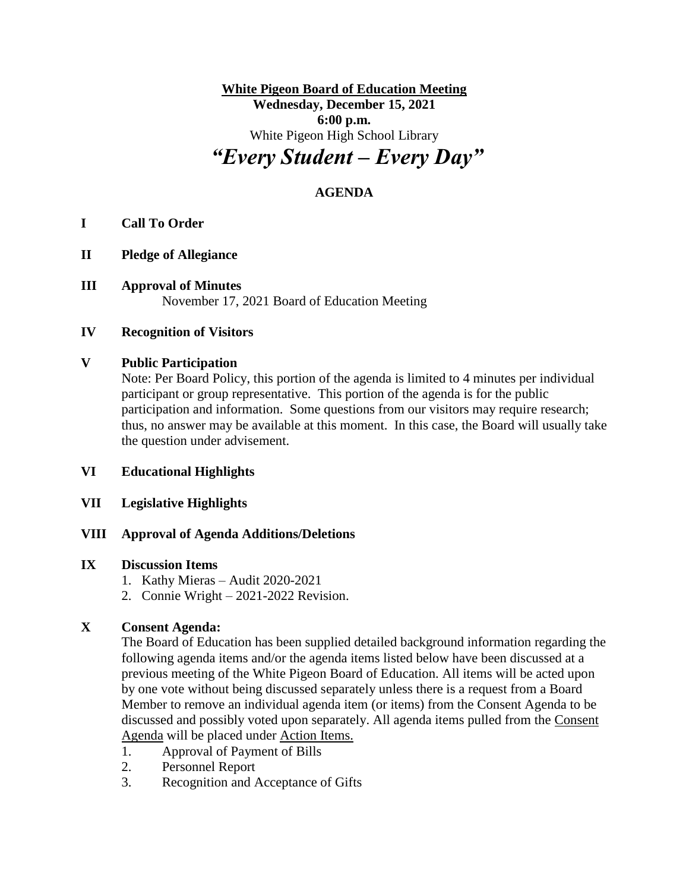**White Pigeon Board of Education Meeting Wednesday, December 15, 2021 6:00 p.m.** White Pigeon High School Library *"Every Student – Every Day"*

# **AGENDA**

## **I Call To Order**

- **II Pledge of Allegiance**
- **III Approval of Minutes** November 17, 2021 Board of Education Meeting

#### **IV Recognition of Visitors**

### **V Public Participation**

Note: Per Board Policy, this portion of the agenda is limited to 4 minutes per individual participant or group representative. This portion of the agenda is for the public participation and information. Some questions from our visitors may require research; thus, no answer may be available at this moment. In this case, the Board will usually take the question under advisement.

#### **VI Educational Highlights**

## **VII Legislative Highlights**

## **VIII Approval of Agenda Additions/Deletions**

#### **IX Discussion Items**

- 1. Kathy Mieras Audit 2020-2021
- 2. Connie Wright 2021-2022 Revision.

## **X Consent Agenda:**

The Board of Education has been supplied detailed background information regarding the following agenda items and/or the agenda items listed below have been discussed at a previous meeting of the White Pigeon Board of Education. All items will be acted upon by one vote without being discussed separately unless there is a request from a Board Member to remove an individual agenda item (or items) from the Consent Agenda to be discussed and possibly voted upon separately. All agenda items pulled from the Consent Agenda will be placed under Action Items.

- 1. Approval of Payment of Bills
- 2. Personnel Report
- 3. Recognition and Acceptance of Gifts